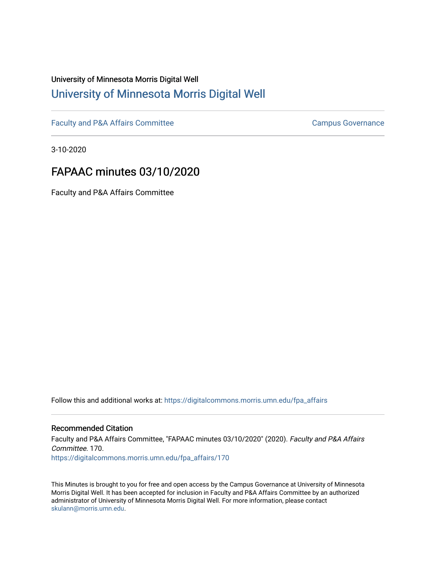# University of Minnesota Morris Digital Well [University of Minnesota Morris Digital Well](https://digitalcommons.morris.umn.edu/)

[Faculty and P&A Affairs Committee](https://digitalcommons.morris.umn.edu/fpa_affairs) [Campus Governance](https://digitalcommons.morris.umn.edu/campgov) Campus Governance

3-10-2020

# FAPAAC minutes 03/10/2020

Faculty and P&A Affairs Committee

Follow this and additional works at: [https://digitalcommons.morris.umn.edu/fpa\\_affairs](https://digitalcommons.morris.umn.edu/fpa_affairs?utm_source=digitalcommons.morris.umn.edu%2Ffpa_affairs%2F170&utm_medium=PDF&utm_campaign=PDFCoverPages)

### Recommended Citation

Faculty and P&A Affairs Committee, "FAPAAC minutes 03/10/2020" (2020). Faculty and P&A Affairs Committee. 170. [https://digitalcommons.morris.umn.edu/fpa\\_affairs/170](https://digitalcommons.morris.umn.edu/fpa_affairs/170?utm_source=digitalcommons.morris.umn.edu%2Ffpa_affairs%2F170&utm_medium=PDF&utm_campaign=PDFCoverPages)

This Minutes is brought to you for free and open access by the Campus Governance at University of Minnesota Morris Digital Well. It has been accepted for inclusion in Faculty and P&A Affairs Committee by an authorized administrator of University of Minnesota Morris Digital Well. For more information, please contact [skulann@morris.umn.edu.](mailto:skulann@morris.umn.edu)